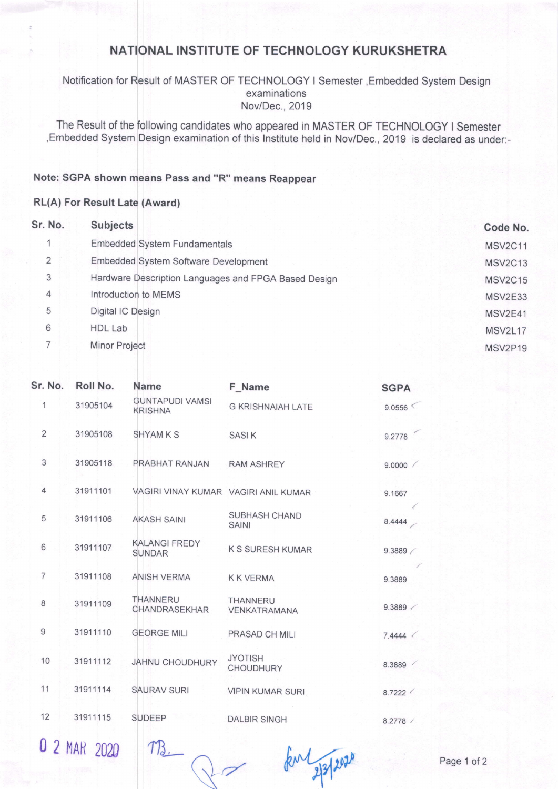## NATIONAL INSTITUTE OF TECHNOLOGY KURUKSHETRA

Notification for Result of MASTER OF TECHNOLOGY I Semester, Embedded System Design examinations Nov/Dec., 2019

The Result of the following candidates who appeared in MASTER OF TECHNOLOGY I Semester ,Embedded System Design examination of this Institute held in Nov/Dec., 2019 is declared as under:-

## Note: SGPA shown means Pass and "R" means Reappear

## RL(A) For Result Late (Award)

| Sr. No.        | <b>Subjects</b>                                      | Code No.       |
|----------------|------------------------------------------------------|----------------|
| 1              | <b>Embedded System Fundamentals</b>                  | <b>MSV2C11</b> |
| $\overline{2}$ | Embedded System Software Development                 | <b>MSV2C13</b> |
| 3              | Hardware Description Languages and FPGA Based Design | <b>MSV2C15</b> |
| 4              | Introduction to MEMS                                 | <b>MSV2E33</b> |
| 5              | Digital IC Design                                    | MSV2E41        |
| 6              | <b>HDL Lab</b>                                       | <b>MSV2L17</b> |
|                | <b>Minor Project</b>                                 | MSV2P19        |
|                |                                                      |                |

| Sr. No.         | Roll No.     | <b>Name</b>                              | F Name                          | <b>SGPA</b> |
|-----------------|--------------|------------------------------------------|---------------------------------|-------------|
| 1               | 31905104     | <b>GUNTAPUDI VAMSI</b><br><b>KRISHNA</b> | <b>G KRISHNAIAH LATE</b>        | 9.0556      |
| $\overline{2}$  | 31905108     | <b>SHYAMKS</b>                           | <b>SASIK</b>                    | 9.2778      |
| 3               | 31905118     | PRABHAT RANJAN                           | <b>RAM ASHREY</b>               | 9.0000      |
| $\overline{4}$  | 31911101     | VAGIRI VINAY KUMAR VAGIRI ANIL KUMAR     |                                 | 9.1667      |
| 5               | 31911106     | <b>AKASH SAINI</b>                       | SUBHASH CHAND<br><b>SAINI</b>   | 8.4444      |
| $6\phantom{.}6$ | 31911107     | <b>KALANGI FREDY</b><br><b>SUNDAR</b>    | <b>K S SURESH KUMAR</b>         | 9.3889      |
| $\overline{7}$  | 31911108     | <b>ANISH VERMA</b>                       | <b>KK VERMA</b>                 | 9.3889      |
| 8               | 31911109     | <b>THANNERU</b><br>CHANDRASEKHAR         | <b>THANNERU</b><br>VENKATRAMANA | 9.3889      |
| $\overline{9}$  | 31911110     | <b>GEORGE MILI</b>                       | PRASAD CH MILI                  | 7.4444      |
| 10              | 31911112     | <b>JAHNU CHOUDHURY</b>                   | <b>JYOTISH</b><br>CHOUDHURY     | 8.3889      |
| 11              | 31911114     | <b>SAURAV SURI</b>                       | <b>VIPIN KUMAR SURI</b>         | 8.7222      |
| 12              | 31911115     | <b>SUDEEP</b>                            | <b>DALBIR SINGH</b>             | 8.2778 /    |
|                 | 0 2 MAR 2020 | $M_{\geq -}$                             | $km^{1212020}$                  | Page 1 of 2 |